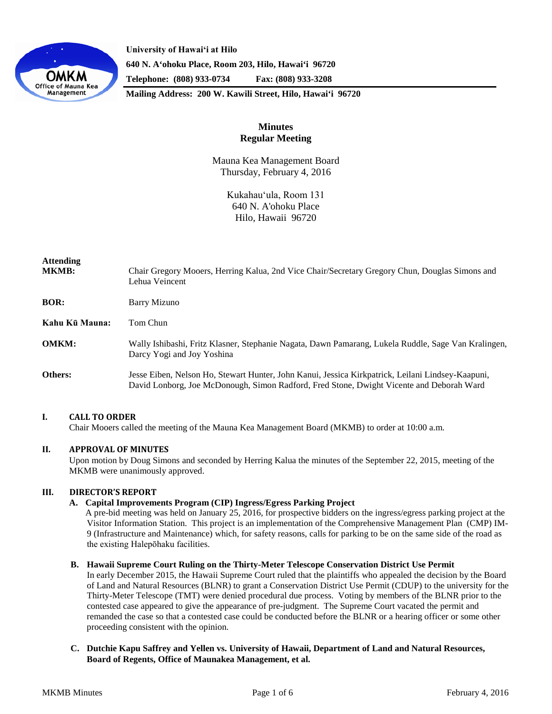

**University of Hawaiʻi at Hilo 640 N. A'ohoku Place, Room 203, Hilo, Hawai'i 96720 Telephone: (808) 933-0734 Fax: (808) 933-3208**

**Mailing Address: 200 W. Kawili Street, Hilo, Hawai'i 96720**

# **Minutes Regular Meeting**

Mauna Kea Management Board Thursday, February 4, 2016

> Kukahauʻula, Room 131 640 N. A'ohoku Place Hilo, Hawaii 96720

| Attending<br><b>MKMB:</b> | Chair Gregory Mooers, Herring Kalua, 2nd Vice Chair/Secretary Gregory Chun, Douglas Simons and<br>Lehua Veincent                                                                              |
|---------------------------|-----------------------------------------------------------------------------------------------------------------------------------------------------------------------------------------------|
| BOR:                      | <b>Barry Mizuno</b>                                                                                                                                                                           |
| Kahu Kū Mauna:            | Tom Chun                                                                                                                                                                                      |
| <b>OMKM:</b>              | Wally Ishibashi, Fritz Klasner, Stephanie Nagata, Dawn Pamarang, Lukela Ruddle, Sage Van Kralingen,<br>Darcy Yogi and Joy Yoshina                                                             |
| <b>Others:</b>            | Jesse Eiben, Nelson Ho, Stewart Hunter, John Kanui, Jessica Kirkpatrick, Leilani Lindsey-Kaapuni,<br>David Lonborg, Joe McDonough, Simon Radford, Fred Stone, Dwight Vicente and Deborah Ward |

# **I. CALL TO ORDER**

Chair Mooers called the meeting of the Mauna Kea Management Board (MKMB) to order at 10:00 a.m.

# **II. APPROVAL OF MINUTES**

Upon motion by Doug Simons and seconded by Herring Kalua the minutes of the September 22, 2015, meeting of the MKMB were unanimously approved.

# **III. DIRECTOR'S REPORT**

## **A. Capital Improvements Program (CIP) Ingress/Egress Parking Project**

A pre-bid meeting was held on January 25, 2016, for prospective bidders on the ingress/egress parking project at the Visitor Information Station. This project is an implementation of the Comprehensive Management Plan (CMP) IM-9 (Infrastructure and Maintenance) which, for safety reasons, calls for parking to be on the same side of the road as the existing Halepōhaku facilities.

#### **B. Hawaii Supreme Court Ruling on the Thirty-Meter Telescope Conservation District Use Permit**

In early December 2015, the Hawaii Supreme Court ruled that the plaintiffs who appealed the decision by the Board of Land and Natural Resources (BLNR) to grant a Conservation District Use Permit (CDUP) to the university for the Thirty-Meter Telescope (TMT) were denied procedural due process. Voting by members of the BLNR prior to the contested case appeared to give the appearance of pre-judgment. The Supreme Court vacated the permit and remanded the case so that a contested case could be conducted before the BLNR or a hearing officer or some other proceeding consistent with the opinion.

## **C. Dutchie Kapu Saffrey and Yellen vs. University of Hawaii, Department of Land and Natural Resources, Board of Regents, Office of Maunakea Management, et al.**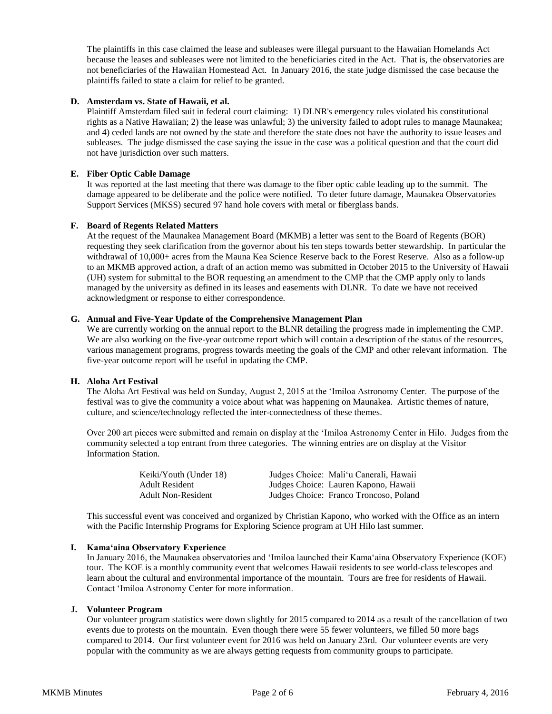The plaintiffs in this case claimed the lease and subleases were illegal pursuant to the Hawaiian Homelands Act because the leases and subleases were not limited to the beneficiaries cited in the Act. That is, the observatories are not beneficiaries of the Hawaiian Homestead Act. In January 2016, the state judge dismissed the case because the plaintiffs failed to state a claim for relief to be granted.

## **D. Amsterdam vs. State of Hawaii, et al.**

Plaintiff Amsterdam filed suit in federal court claiming: 1) DLNR's emergency rules violated his constitutional rights as a Native Hawaiian; 2) the lease was unlawful; 3) the university failed to adopt rules to manage Maunakea; and 4) ceded lands are not owned by the state and therefore the state does not have the authority to issue leases and subleases. The judge dismissed the case saying the issue in the case was a political question and that the court did not have jurisdiction over such matters.

## **E. Fiber Optic Cable Damage**

It was reported at the last meeting that there was damage to the fiber optic cable leading up to the summit. The damage appeared to be deliberate and the police were notified. To deter future damage, Maunakea Observatories Support Services (MKSS) secured 97 hand hole covers with metal or fiberglass bands.

## **F. Board of Regents Related Matters**

At the request of the Maunakea Management Board (MKMB) a letter was sent to the Board of Regents (BOR) requesting they seek clarification from the governor about his ten steps towards better stewardship. In particular the withdrawal of 10,000+ acres from the Mauna Kea Science Reserve back to the Forest Reserve. Also as a follow-up to an MKMB approved action, a draft of an action memo was submitted in October 2015 to the University of Hawaii (UH) system for submittal to the BOR requesting an amendment to the CMP that the CMP apply only to lands managed by the university as defined in its leases and easements with DLNR. To date we have not received acknowledgment or response to either correspondence.

## **G. Annual and Five-Year Update of the Comprehensive Management Plan**

We are currently working on the annual report to the BLNR detailing the progress made in implementing the CMP. We are also working on the five-year outcome report which will contain a description of the status of the resources, various management programs, progress towards meeting the goals of the CMP and other relevant information. The five-year outcome report will be useful in updating the CMP.

## **H. Aloha Art Festival**

The Aloha Art Festival was held on Sunday, August 2, 2015 at the ʻImiloa Astronomy Center. The purpose of the festival was to give the community a voice about what was happening on Maunakea. Artistic themes of nature, culture, and science/technology reflected the inter-connectedness of these themes.

Over 200 art pieces were submitted and remain on display at the ʻImiloa Astronomy Center in Hilo. Judges from the community selected a top entrant from three categories. The winning entries are on display at the Visitor Information Station.

| Keiki/Youth (Under 18)    | Judges Choice: Mali'u Canerali, Hawaii |
|---------------------------|----------------------------------------|
| Adult Resident            | Judges Choice: Lauren Kapono, Hawaii   |
| <b>Adult Non-Resident</b> | Judges Choice: Franco Troncoso, Poland |

This successful event was conceived and organized by Christian Kapono, who worked with the Office as an intern with the Pacific Internship Programs for Exploring Science program at UH Hilo last summer.

#### **I. Kamaʻaina Observatory Experience**

In January 2016, the Maunakea observatories and ʻImiloa launched their Kamaʻaina Observatory Experience (KOE) tour. The KOE is a monthly community event that welcomes Hawaii residents to see world-class telescopes and learn about the cultural and environmental importance of the mountain. Tours are free for residents of Hawaii. Contact ʻImiloa Astronomy Center for more information.

# **J. Volunteer Program**

Our volunteer program statistics were down slightly for 2015 compared to 2014 as a result of the cancellation of two events due to protests on the mountain. Even though there were 55 fewer volunteers, we filled 50 more bags compared to 2014. Our first volunteer event for 2016 was held on January 23rd. Our volunteer events are very popular with the community as we are always getting requests from community groups to participate.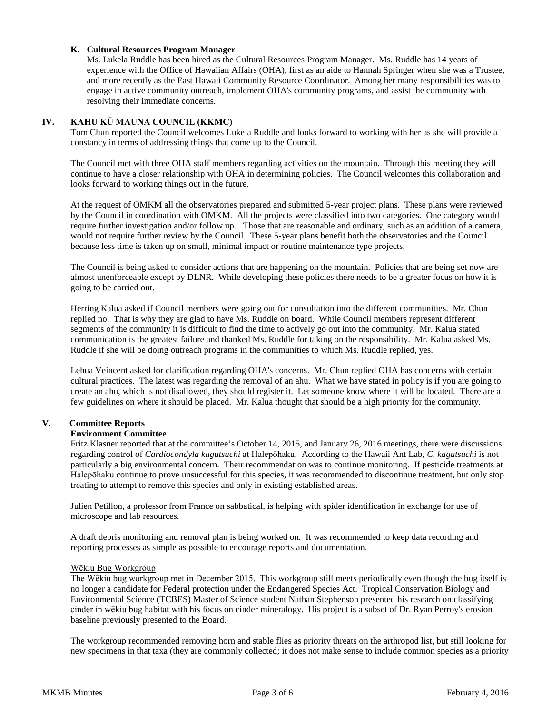## **K. Cultural Resources Program Manager**

Ms. Lukela Ruddle has been hired as the Cultural Resources Program Manager. Ms. Ruddle has 14 years of experience with the Office of Hawaiian Affairs (OHA), first as an aide to Hannah Springer when she was a Trustee, and more recently as the East Hawaii Community Resource Coordinator. Among her many responsibilities was to engage in active community outreach, implement OHA's community programs, and assist the community with resolving their immediate concerns.

## **IV. KAHU KŪ MAUNA COUNCIL (KKMC)**

Tom Chun reported the Council welcomes Lukela Ruddle and looks forward to working with her as she will provide a constancy in terms of addressing things that come up to the Council.

The Council met with three OHA staff members regarding activities on the mountain. Through this meeting they will continue to have a closer relationship with OHA in determining policies. The Council welcomes this collaboration and looks forward to working things out in the future.

At the request of OMKM all the observatories prepared and submitted 5-year project plans. These plans were reviewed by the Council in coordination with OMKM. All the projects were classified into two categories. One category would require further investigation and/or follow up. Those that are reasonable and ordinary, such as an addition of a camera, would not require further review by the Council. These 5-year plans benefit both the observatories and the Council because less time is taken up on small, minimal impact or routine maintenance type projects.

The Council is being asked to consider actions that are happening on the mountain. Policies that are being set now are almost unenforceable except by DLNR. While developing these policies there needs to be a greater focus on how it is going to be carried out.

Herring Kalua asked if Council members were going out for consultation into the different communities. Mr. Chun replied no. That is why they are glad to have Ms. Ruddle on board. While Council members represent different segments of the community it is difficult to find the time to actively go out into the community. Mr. Kalua stated communication is the greatest failure and thanked Ms. Ruddle for taking on the responsibility. Mr. Kalua asked Ms. Ruddle if she will be doing outreach programs in the communities to which Ms. Ruddle replied, yes.

Lehua Veincent asked for clarification regarding OHA's concerns. Mr. Chun replied OHA has concerns with certain cultural practices. The latest was regarding the removal of an ahu. What we have stated in policy is if you are going to create an ahu, which is not disallowed, they should register it. Let someone know where it will be located. There are a few guidelines on where it should be placed. Mr. Kalua thought that should be a high priority for the community.

# **V. Committee Reports**

#### **Environment Committee**

Fritz Klasner reported that at the committee's October 14, 2015, and January 26, 2016 meetings, there were discussions regarding control of *Cardiocondyla kagutsuchi* at Halepōhaku. According to the Hawaii Ant Lab, *C. kagutsuchi* is not particularly a big environmental concern. Their recommendation was to continue monitoring. If pesticide treatments at Halepōhaku continue to prove unsuccessful for this species, it was recommended to discontinue treatment, but only stop treating to attempt to remove this species and only in existing established areas.

Julien Petillon, a professor from France on sabbatical, is helping with spider identification in exchange for use of microscope and lab resources.

A draft debris monitoring and removal plan is being worked on. It was recommended to keep data recording and reporting processes as simple as possible to encourage reports and documentation.

#### Wēkiu Bug Workgroup

The Wēkiu bug workgroup met in December 2015. This workgroup still meets periodically even though the bug itself is no longer a candidate for Federal protection under the Endangered Species Act. Tropical Conservation Biology and Environmental Science (TCBES) Master of Science student Nathan Stephenson presented his research on classifying cinder in wēkiu bug habitat with his focus on cinder mineralogy. His project is a subset of Dr. Ryan Perroy's erosion baseline previously presented to the Board.

The workgroup recommended removing horn and stable flies as priority threats on the arthropod list, but still looking for new specimens in that taxa (they are commonly collected; it does not make sense to include common species as a priority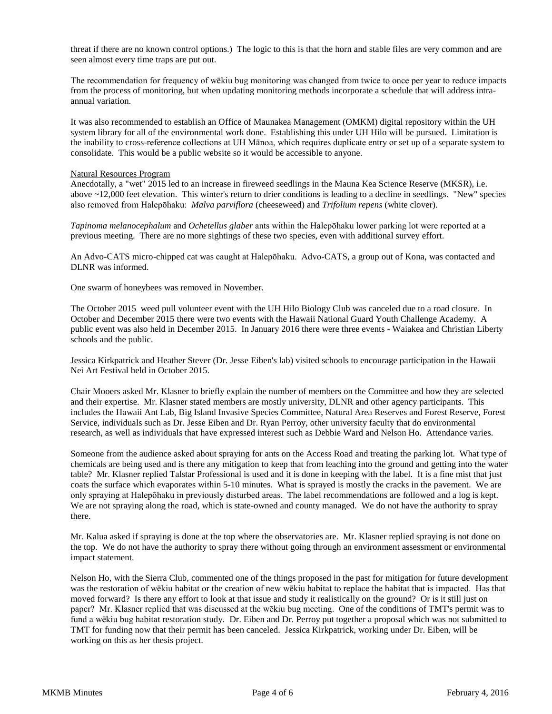threat if there are no known control options.) The logic to this is that the horn and stable files are very common and are seen almost every time traps are put out.

The recommendation for frequency of wēkiu bug monitoring was changed from twice to once per year to reduce impacts from the process of monitoring, but when updating monitoring methods incorporate a schedule that will address intraannual variation.

It was also recommended to establish an Office of Maunakea Management (OMKM) digital repository within the UH system library for all of the environmental work done. Establishing this under UH Hilo will be pursued. Limitation is the inability to cross-reference collections at UH Mānoa, which requires duplicate entry or set up of a separate system to consolidate. This would be a public website so it would be accessible to anyone.

#### Natural Resources Program

Anecdotally, a "wet" 2015 led to an increase in fireweed seedlings in the Mauna Kea Science Reserve (MKSR), i.e. above ~12,000 feet elevation. This winter's return to drier conditions is leading to a decline in seedlings. "New" species also removed from Halepōhaku: *Malva parviflora* (cheeseweed) and *Trifolium repens* (white clover).

*Tapinoma melanocephalum* and *Ochetellus glaber* ants within the Halepōhaku lower parking lot were reported at a previous meeting. There are no more sightings of these two species, even with additional survey effort.

An Advo-CATS micro-chipped cat was caught at Halepōhaku. Advo-CATS, a group out of Kona, was contacted and DLNR was informed.

One swarm of honeybees was removed in November.

The October 2015 weed pull volunteer event with the UH Hilo Biology Club was canceled due to a road closure. In October and December 2015 there were two events with the Hawaii National Guard Youth Challenge Academy. A public event was also held in December 2015. In January 2016 there were three events - Waiakea and Christian Liberty schools and the public.

Jessica Kirkpatrick and Heather Stever (Dr. Jesse Eiben's lab) visited schools to encourage participation in the Hawaii Nei Art Festival held in October 2015.

Chair Mooers asked Mr. Klasner to briefly explain the number of members on the Committee and how they are selected and their expertise. Mr. Klasner stated members are mostly university, DLNR and other agency participants. This includes the Hawaii Ant Lab, Big Island Invasive Species Committee, Natural Area Reserves and Forest Reserve, Forest Service, individuals such as Dr. Jesse Eiben and Dr. Ryan Perroy, other university faculty that do environmental research, as well as individuals that have expressed interest such as Debbie Ward and Nelson Ho. Attendance varies.

Someone from the audience asked about spraying for ants on the Access Road and treating the parking lot. What type of chemicals are being used and is there any mitigation to keep that from leaching into the ground and getting into the water table? Mr. Klasner replied Talstar Professional is used and it is done in keeping with the label. It is a fine mist that just coats the surface which evaporates within 5-10 minutes. What is sprayed is mostly the cracks in the pavement. We are only spraying at Halepōhaku in previously disturbed areas. The label recommendations are followed and a log is kept. We are not spraying along the road, which is state-owned and county managed. We do not have the authority to spray there.

Mr. Kalua asked if spraying is done at the top where the observatories are. Mr. Klasner replied spraying is not done on the top. We do not have the authority to spray there without going through an environment assessment or environmental impact statement.

Nelson Ho, with the Sierra Club, commented one of the things proposed in the past for mitigation for future development was the restoration of wēkiu habitat or the creation of new wēkiu habitat to replace the habitat that is impacted. Has that moved forward? Is there any effort to look at that issue and study it realistically on the ground? Or is it still just on paper? Mr. Klasner replied that was discussed at the wēkiu bug meeting. One of the conditions of TMT's permit was to fund a wēkiu bug habitat restoration study. Dr. Eiben and Dr. Perroy put together a proposal which was not submitted to TMT for funding now that their permit has been canceled. Jessica Kirkpatrick, working under Dr. Eiben, will be working on this as her thesis project.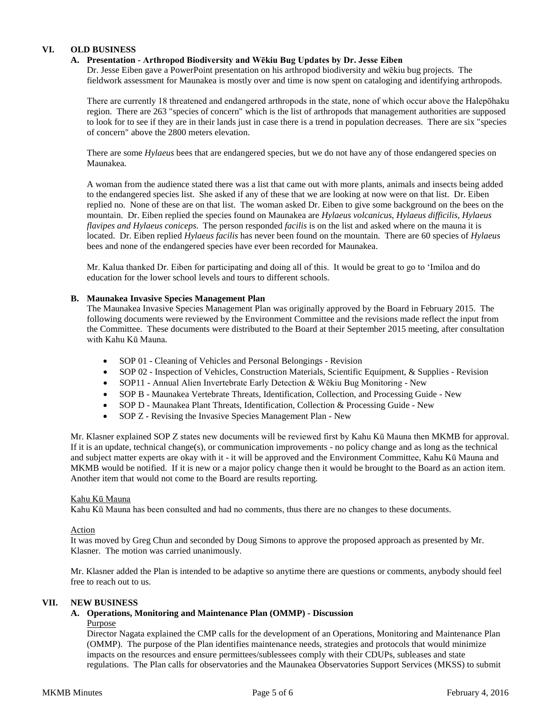# **VI. OLD BUSINESS**

# **A. Presentation - Arthropod Biodiversity and Wēkiu Bug Updates by Dr. Jesse Eiben**

Dr. Jesse Eiben gave a PowerPoint presentation on his arthropod biodiversity and wēkiu bug projects. The fieldwork assessment for Maunakea is mostly over and time is now spent on cataloging and identifying arthropods.

There are currently 18 threatened and endangered arthropods in the state, none of which occur above the Halepōhaku region. There are 263 "species of concern" which is the list of arthropods that management authorities are supposed to look for to see if they are in their lands just in case there is a trend in population decreases. There are six "species of concern" above the 2800 meters elevation.

There are some *Hylaeus* bees that are endangered species, but we do not have any of those endangered species on Maunakea.

A woman from the audience stated there was a list that came out with more plants, animals and insects being added to the endangered species list. She asked if any of these that we are looking at now were on that list. Dr. Eiben replied no. None of these are on that list. The woman asked Dr. Eiben to give some background on the bees on the mountain. Dr. Eiben replied the species found on Maunakea are *Hylaeus volcanicus*, *Hylaeus difficilis*, *Hylaeus flavipes and Hylaeus coniceps*. The person responded *facilis* is on the list and asked where on the mauna it is located. Dr. Eiben replied *Hylaeus facilis* has never been found on the mountain. There are 60 species of *Hylaeus*  bees and none of the endangered species have ever been recorded for Maunakea.

Mr. Kalua thanked Dr. Eiben for participating and doing all of this. It would be great to go to ʻImiloa and do education for the lower school levels and tours to different schools.

## **B. Maunakea Invasive Species Management Plan**

The Maunakea Invasive Species Management Plan was originally approved by the Board in February 2015. The following documents were reviewed by the Environment Committee and the revisions made reflect the input from the Committee. These documents were distributed to the Board at their September 2015 meeting, after consultation with Kahu Kū Mauna.

- SOP 01 Cleaning of Vehicles and Personal Belongings Revision
- SOP 02 Inspection of Vehicles, Construction Materials, Scientific Equipment, & Supplies Revision
- SOP11 Annual Alien Invertebrate Early Detection & Wēkiu Bug Monitoring New
- SOP B Maunakea Vertebrate Threats, Identification, Collection, and Processing Guide New
- SOP D Maunakea Plant Threats, Identification, Collection & Processing Guide New
- SOP Z Revising the Invasive Species Management Plan New

Mr. Klasner explained SOP Z states new documents will be reviewed first by Kahu Kū Mauna then MKMB for approval. If it is an update, technical change(s), or communication improvements - no policy change and as long as the technical and subject matter experts are okay with it - it will be approved and the Environment Committee, Kahu Kū Mauna and MKMB would be notified. If it is new or a major policy change then it would be brought to the Board as an action item. Another item that would not come to the Board are results reporting.

#### Kahu Kū Mauna

Kahu Kū Mauna has been consulted and had no comments, thus there are no changes to these documents.

#### Action

It was moved by Greg Chun and seconded by Doug Simons to approve the proposed approach as presented by Mr. Klasner. The motion was carried unanimously.

Mr. Klasner added the Plan is intended to be adaptive so anytime there are questions or comments, anybody should feel free to reach out to us.

# **VII. NEW BUSINESS**

#### **A. Operations, Monitoring and Maintenance Plan (OMMP) - Discussion**  Purpose

Director Nagata explained the CMP calls for the development of an Operations, Monitoring and Maintenance Plan (OMMP). The purpose of the Plan identifies maintenance needs, strategies and protocols that would minimize impacts on the resources and ensure permittees/sublessees comply with their CDUPs, subleases and state regulations. The Plan calls for observatories and the Maunakea Observatories Support Services (MKSS) to submit